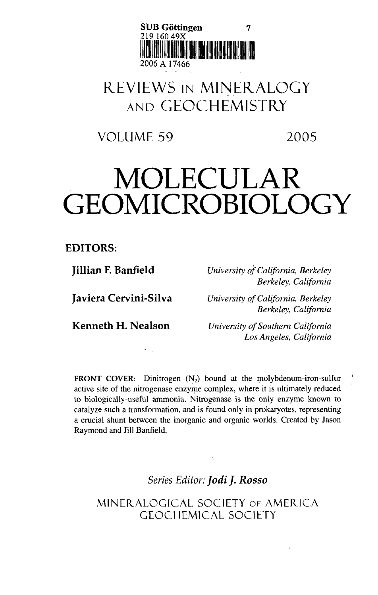

## REVIEWS IN MINERALOGY AND GEOCHEMISTRY

VOLUME 59 2005

## MOLECULAR GEOMICROBIOLOGY

**EDITORS:**

**Jillian F. Banfield**

**Javiera Cervini-Silva**

*University of California, Berkeley Berkeley, California*

*University of California, Berkeley Berkeley, California*

**Kenneth H. Nealson**

 $\ddotsc$ 

*University of Southern California Los Angeles, California*

**FRONT COVER:** Dinitrogen  $(N_2)$  bound at the molybdenum-iron-sulfur active site of the nitrogenase enzyme complex, where it is ultimately reduced to biologically-useful ammonia. Nitrogenase is the only enzyme known to catalyze such a transformation, and is found only in prokaryotes, representing a crucial shunt between the inorganic and organic worlds. Created by Jason Raymond and Jill Banfield.

*Series Editor: Jodi J. Rosso*

MINEKALOGICAL SOCIETY OF AMERICA GEOCHEMICAL SOCIETY